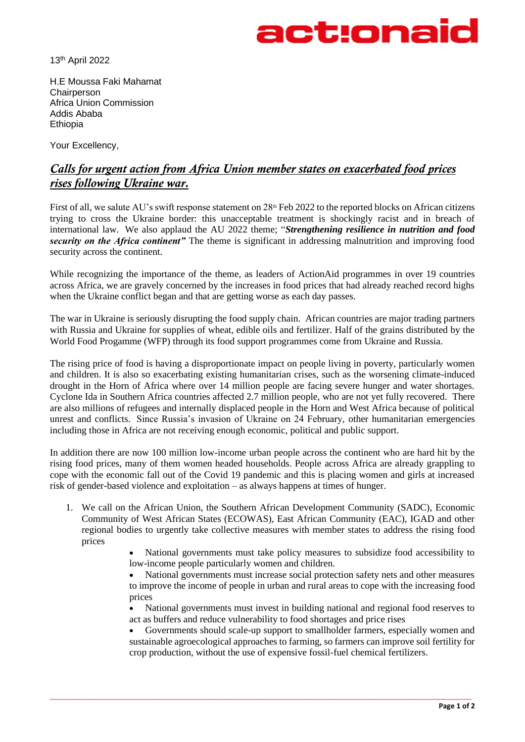

13th April 2022

H.E Moussa Faki Mahamat **Chairperson** Africa Union Commission Addis Ababa Ethiopia

Your Excellency,

## *Calls for urgent action from Africa Union member states on exacerbated food prices rises following Ukraine war.*

First of all, we salute AU's swift response statement on  $28<sup>th</sup>$  Feb 2022 to the reported blocks on African citizens trying to cross the Ukraine border: this unacceptable treatment is shockingly racist and in breach of international law. We also applaud the AU 2022 theme; "*Strengthening resilience in nutrition and food security on the Africa continent"* The theme is significant in addressing malnutrition and improving food security across the continent.

While recognizing the importance of the theme, as leaders of ActionAid programmes in over 19 countries across Africa, we are gravely concerned by the increases in food prices that had already reached record highs when the Ukraine conflict began and that are getting worse as each day passes.

The war in Ukraine is seriously disrupting the food supply chain. African countries are major trading partners with Russia and Ukraine for supplies of wheat, edible oils and fertilizer. Half of the grains distributed by the World Food Progamme (WFP) through its food support programmes come from Ukraine and Russia.

The rising price of food is having a disproportionate impact on people living in poverty, particularly women and children. It is also so exacerbating existing humanitarian crises, such as the worsening climate-induced drought in the Horn of Africa where over 14 million people are facing severe hunger and water shortages. Cyclone Ida in Southern Africa countries affected 2.7 million people, who are not yet fully recovered. There are also millions of refugees and internally displaced people in the Horn and West Africa because of political unrest and conflicts. Since Russia's invasion of Ukraine on 24 February, other humanitarian emergencies including those in Africa are not receiving enough economic, political and public support.

In addition there are now 100 million low-income urban people across the continent who are hard hit by the rising food prices, many of them women headed households. People across Africa are already grappling to cope with the economic fall out of the Covid 19 pandemic and this is placing women and girls at increased risk of gender-based violence and exploitation – as always happens at times of hunger.

1. We call on the African Union, the Southern African Development Community (SADC), Economic Community of West African States (ECOWAS), East African Community (EAC), IGAD and other regional bodies to urgently take collective measures with member states to address the rising food prices

\_\_\_\_\_\_\_\_\_\_\_\_\_\_\_\_\_\_\_\_\_\_\_\_\_\_\_\_\_\_\_\_\_\_\_\_\_\_\_\_\_\_\_\_\_\_\_\_\_\_\_\_\_\_\_\_\_\_\_\_\_\_\_\_\_\_\_\_\_\_\_\_\_\_\_\_\_\_\_\_\_\_\_\_\_\_\_

• National governments must take policy measures to subsidize food accessibility to low-income people particularly women and children.

• National governments must increase social protection safety nets and other measures to improve the income of people in urban and rural areas to cope with the increasing food prices

• National governments must invest in building national and regional food reserves to act as buffers and reduce vulnerability to food shortages and price rises

• Governments should scale-up support to smallholder farmers, especially women and sustainable agroecological approaches to farming, so farmers can improve soil fertility for crop production, without the use of expensive fossil-fuel chemical fertilizers.